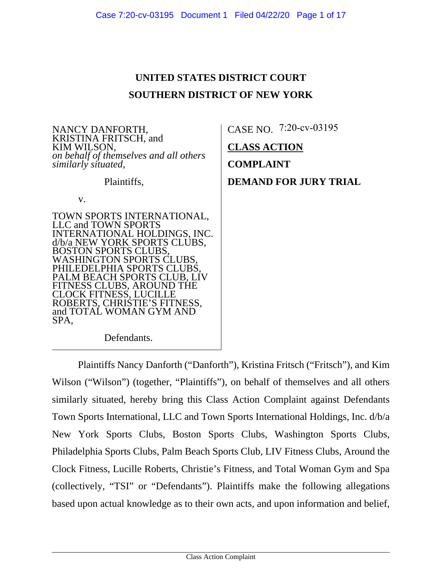**UNITED STATES DISTRICT COURT**

| <b>SOUTHERN DISTRICT OF NEW YORK</b>                                                                                                                                                                                                                                                                                                                                |                                                                                                   |
|---------------------------------------------------------------------------------------------------------------------------------------------------------------------------------------------------------------------------------------------------------------------------------------------------------------------------------------------------------------------|---------------------------------------------------------------------------------------------------|
| NANCY DANFORTH,<br>KRISTINA FRITSCH, and<br>KIM WILSON,<br>on behalf of themselves and all others<br>similarly situated,<br>Plaintiffs,<br>V.                                                                                                                                                                                                                       | CASE NO. 7:20-cv-03195<br><b>CLASS ACTION</b><br><b>COMPLAINT</b><br><b>DEMAND FOR JURY TRIAL</b> |
| TOWN SPORTS INTERNATIONAL,<br>LLC and TOWN SPORTS<br>INTERNATIONAL HOLDINGS, INC.<br>d/b/a NEW YORK SPORTS CLUBS,<br><b>BOSTON SPORTS CLUBS,</b><br>WASHINGTON SPORTS CLUBS,<br>PHILEDELPHIA SPORTS CLUBS,<br>PALM BEACH SPORTS CLUB, LIV<br>FITNESS CLUBS, AROUND THE<br>CLOCK FITNESS, LUCILLE<br>ROBERTS, CHRISTIE'S FITNESS,<br>and TOTAL WOMAN GYM AND<br>SPA, |                                                                                                   |
| Defendants.                                                                                                                                                                                                                                                                                                                                                         |                                                                                                   |

Plaintiffs Nancy Danforth ("Danforth"), Kristina Fritsch ("Fritsch"), and Kim Wilson ("Wilson") (together, "Plaintiffs"), on behalf of themselves and all others similarly situated, hereby bring this Class Action Complaint against Defendants Town Sports International, LLC and Town Sports International Holdings, Inc. d/b/a New York Sports Clubs, Boston Sports Clubs, Washington Sports Clubs, Philadelphia Sports Clubs, Palm Beach Sports Club, LIV Fitness Clubs, Around the Clock Fitness, Lucille Roberts, Christie's Fitness, and Total Woman Gym and Spa (collectively, "TSI" or "Defendants"). Plaintiffs make the following allegations based upon actual knowledge as to their own acts, and upon information and belief,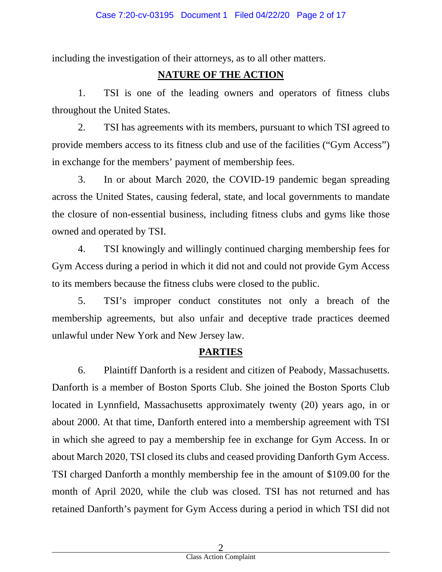including the investigation of their attorneys, as to all other matters.

### **NATURE OF THE ACTION**

1. TSI is one of the leading owners and operators of fitness clubs throughout the United States.

2. TSI has agreements with its members, pursuant to which TSI agreed to provide members access to its fitness club and use of the facilities ("Gym Access") in exchange for the members' payment of membership fees.

3. In or about March 2020, the COVID-19 pandemic began spreading across the United States, causing federal, state, and local governments to mandate the closure of non-essential business, including fitness clubs and gyms like those owned and operated by TSI.

4. TSI knowingly and willingly continued charging membership fees for Gym Access during a period in which it did not and could not provide Gym Access to its members because the fitness clubs were closed to the public.

5. TSI's improper conduct constitutes not only a breach of the membership agreements, but also unfair and deceptive trade practices deemed unlawful under New York and New Jersey law.

### **PARTIES**

6. Plaintiff Danforth is a resident and citizen of Peabody, Massachusetts. Danforth is a member of Boston Sports Club. She joined the Boston Sports Club located in Lynnfield, Massachusetts approximately twenty (20) years ago, in or about 2000. At that time, Danforth entered into a membership agreement with TSI in which she agreed to pay a membership fee in exchange for Gym Access. In or about March 2020, TSI closed its clubs and ceased providing Danforth Gym Access. TSI charged Danforth a monthly membership fee in the amount of \$109.00 for the month of April 2020, while the club was closed. TSI has not returned and has retained Danforth's payment for Gym Access during a period in which TSI did not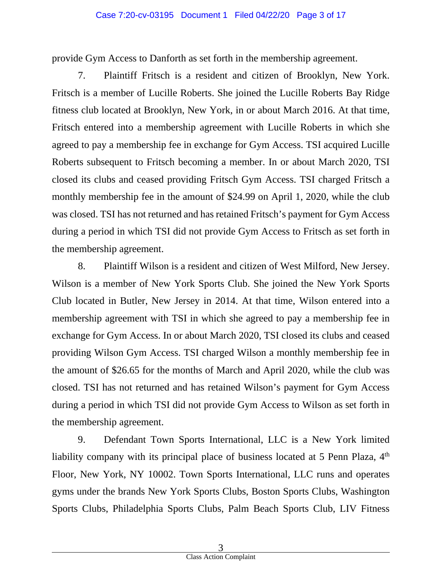#### Case 7:20-cv-03195 Document 1 Filed 04/22/20 Page 3 of 17

provide Gym Access to Danforth as set forth in the membership agreement.

7. Plaintiff Fritsch is a resident and citizen of Brooklyn, New York. Fritsch is a member of Lucille Roberts. She joined the Lucille Roberts Bay Ridge fitness club located at Brooklyn, New York, in or about March 2016. At that time, Fritsch entered into a membership agreement with Lucille Roberts in which she agreed to pay a membership fee in exchange for Gym Access. TSI acquired Lucille Roberts subsequent to Fritsch becoming a member. In or about March 2020, TSI closed its clubs and ceased providing Fritsch Gym Access. TSI charged Fritsch a monthly membership fee in the amount of \$24.99 on April 1, 2020, while the club was closed. TSI has not returned and has retained Fritsch's payment for Gym Access during a period in which TSI did not provide Gym Access to Fritsch as set forth in the membership agreement.

8. Plaintiff Wilson is a resident and citizen of West Milford, New Jersey. Wilson is a member of New York Sports Club. She joined the New York Sports Club located in Butler, New Jersey in 2014. At that time, Wilson entered into a membership agreement with TSI in which she agreed to pay a membership fee in exchange for Gym Access. In or about March 2020, TSI closed its clubs and ceased providing Wilson Gym Access. TSI charged Wilson a monthly membership fee in the amount of \$26.65 for the months of March and April 2020, while the club was closed. TSI has not returned and has retained Wilson's payment for Gym Access during a period in which TSI did not provide Gym Access to Wilson as set forth in the membership agreement.

9. Defendant Town Sports International, LLC is a New York limited liability company with its principal place of business located at 5 Penn Plaza, 4<sup>th</sup> Floor, New York, NY 10002. Town Sports International, LLC runs and operates gyms under the brands New York Sports Clubs, Boston Sports Clubs, Washington Sports Clubs, Philadelphia Sports Clubs, Palm Beach Sports Club, LIV Fitness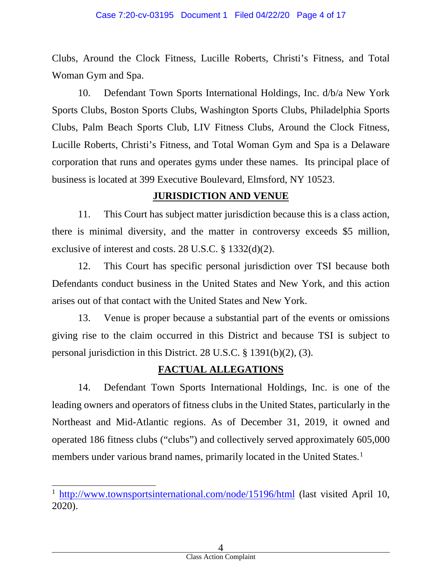Clubs, Around the Clock Fitness, Lucille Roberts, Christi's Fitness, and Total Woman Gym and Spa.

10. Defendant Town Sports International Holdings, Inc. d/b/a New York Sports Clubs, Boston Sports Clubs, Washington Sports Clubs, Philadelphia Sports Clubs, Palm Beach Sports Club, LIV Fitness Clubs, Around the Clock Fitness, Lucille Roberts, Christi's Fitness, and Total Woman Gym and Spa is a Delaware corporation that runs and operates gyms under these names. Its principal place of business is located at 399 Executive Boulevard, Elmsford, NY 10523.

### **JURISDICTION AND VENUE**

11. This Court has subject matter jurisdiction because this is a class action, there is minimal diversity, and the matter in controversy exceeds \$5 million, exclusive of interest and costs. 28 U.S.C. § 1332(d)(2).

12. This Court has specific personal jurisdiction over TSI because both Defendants conduct business in the United States and New York, and this action arises out of that contact with the United States and New York.

13. Venue is proper because a substantial part of the events or omissions giving rise to the claim occurred in this District and because TSI is subject to personal jurisdiction in this District. 28 U.S.C. § 1391(b)(2), (3).

## **FACTUAL ALLEGATIONS**

14. Defendant Town Sports International Holdings, Inc. is one of the leading owners and operators of fitness clubs in the United States, particularly in the Northeast and Mid-Atlantic regions. As of December 31, 2019, it owned and operated 186 fitness clubs ("clubs") and collectively served approximately 605,000 members under various brand names, primarily located in the United States.<sup>[1](#page-3-0)</sup>

<span id="page-3-0"></span><sup>&</sup>lt;sup>1</sup> <http://www.townsportsinternational.com/node/15196/html> (last visited April 10, 2020).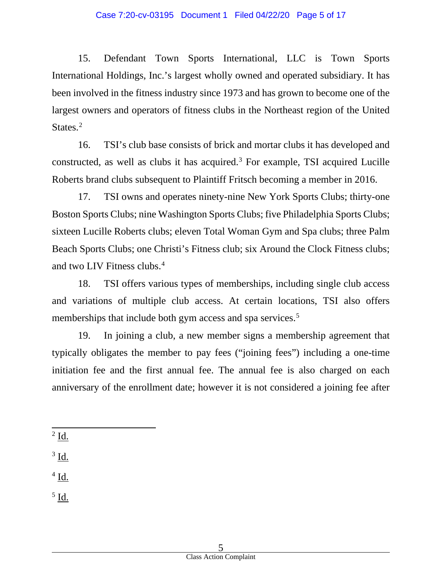15. Defendant Town Sports International, LLC is Town Sports International Holdings, Inc.'s largest wholly owned and operated subsidiary. It has been involved in the fitness industry since 1973 and has grown to become one of the largest owners and operators of fitness clubs in the Northeast region of the United States.<sup>[2](#page-4-0)</sup>

16. TSI's club base consists of brick and mortar clubs it has developed and constructed, as well as clubs it has acquired.<sup>[3](#page-4-1)</sup> For example, TSI acquired Lucille Roberts brand clubs subsequent to Plaintiff Fritsch becoming a member in 2016.

17. TSI owns and operates ninety-nine New York Sports Clubs; thirty-one Boston Sports Clubs; nine Washington Sports Clubs; five Philadelphia Sports Clubs; sixteen Lucille Roberts clubs; eleven Total Woman Gym and Spa clubs; three Palm Beach Sports Clubs; one Christi's Fitness club; six Around the Clock Fitness clubs; and two LIV Fitness clubs.<sup>[4](#page-4-2)</sup>

18. TSI offers various types of memberships, including single club access and variations of multiple club access. At certain locations, TSI also offers memberships that include both gym access and spa services.<sup>[5](#page-4-3)</sup>

19. In joining a club, a new member signs a membership agreement that typically obligates the member to pay fees ("joining fees") including a one-time initiation fee and the first annual fee. The annual fee is also charged on each anniversary of the enrollment date; however it is not considered a joining fee after

<span id="page-4-0"></span> $2$  <u>Id.</u>

<span id="page-4-1"></span><sup>3</sup> Id.

<span id="page-4-2"></span> $4$  Id.

<span id="page-4-3"></span><sup>5</sup> Id.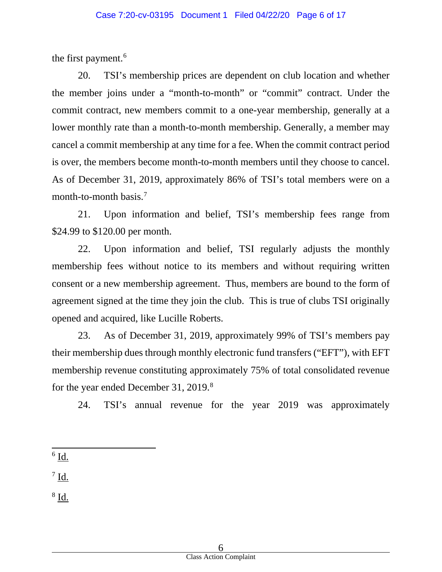the first payment.<sup>[6](#page-5-0)</sup>

20. TSI's membership prices are dependent on club location and whether the member joins under a "month-to-month" or "commit" contract. Under the commit contract, new members commit to a one-year membership, generally at a lower monthly rate than a month-to-month membership. Generally, a member may cancel a commit membership at any time for a fee. When the commit contract period is over, the members become month-to-month members until they choose to cancel. As of December 31, 2019, approximately 86% of TSI's total members were on a month-to-month basis.<sup>[7](#page-5-1)</sup>

21. Upon information and belief, TSI's membership fees range from \$24.99 to \$120.00 per month.

22. Upon information and belief, TSI regularly adjusts the monthly membership fees without notice to its members and without requiring written consent or a new membership agreement. Thus, members are bound to the form of agreement signed at the time they join the club. This is true of clubs TSI originally opened and acquired, like Lucille Roberts.

23. As of December 31, 2019, approximately 99% of TSI's members pay their membership dues through monthly electronic fund transfers ("EFT"), with EFT membership revenue constituting approximately 75% of total consolidated revenue for the year ended December 31, 2019.<sup>[8](#page-5-2)</sup>

24. TSI's annual revenue for the year 2019 was approximately

<span id="page-5-0"></span> $6$  Id.

<span id="page-5-1"></span> $^7$  Id.

<span id="page-5-2"></span><sup>8</sup> Id.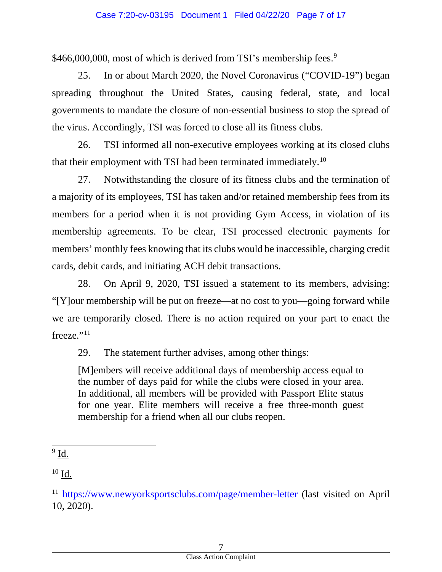\$466,000,000, most of which is derived from TSI's membership fees.<sup>[9](#page-6-0)</sup>

25. In or about March 2020, the Novel Coronavirus ("COVID-19") began spreading throughout the United States, causing federal, state, and local governments to mandate the closure of non-essential business to stop the spread of the virus. Accordingly, TSI was forced to close all its fitness clubs.

26. TSI informed all non-executive employees working at its closed clubs that their employment with TSI had been terminated immediately.<sup>[10](#page-6-1)</sup>

27. Notwithstanding the closure of its fitness clubs and the termination of a majority of its employees, TSI has taken and/or retained membership fees from its members for a period when it is not providing Gym Access, in violation of its membership agreements. To be clear, TSI processed electronic payments for members' monthly fees knowing that its clubs would be inaccessible, charging credit cards, debit cards, and initiating ACH debit transactions.

28. On April 9, 2020, TSI issued a statement to its members, advising: "[Y]our membership will be put on freeze—at no cost to you—going forward while we are temporarily closed. There is no action required on your part to enact the freeze."<sup>[11](#page-6-2)</sup>

29. The statement further advises, among other things:

[M]embers will receive additional days of membership access equal to the number of days paid for while the clubs were closed in your area. In additional, all members will be provided with Passport Elite status for one year. Elite members will receive a free three-month guest membership for a friend when all our clubs reopen.

<span id="page-6-1"></span> $10$  Id.

<span id="page-6-0"></span> $9$  Id.

<span id="page-6-2"></span><sup>&</sup>lt;sup>11</sup> <https://www.newyorksportsclubs.com/page/member-letter> (last visited on April 10, 2020).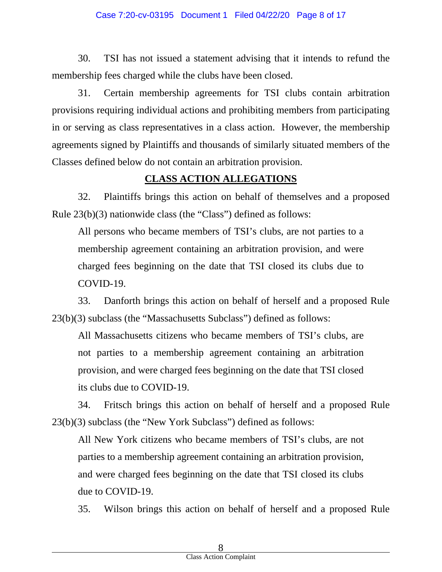#### Case 7:20-cv-03195 Document 1 Filed 04/22/20 Page 8 of 17

30. TSI has not issued a statement advising that it intends to refund the membership fees charged while the clubs have been closed.

31. Certain membership agreements for TSI clubs contain arbitration provisions requiring individual actions and prohibiting members from participating in or serving as class representatives in a class action. However, the membership agreements signed by Plaintiffs and thousands of similarly situated members of the Classes defined below do not contain an arbitration provision.

#### **CLASS ACTION ALLEGATIONS**

32. Plaintiffs brings this action on behalf of themselves and a proposed Rule 23(b)(3) nationwide class (the "Class") defined as follows:

All persons who became members of TSI's clubs, are not parties to a membership agreement containing an arbitration provision, and were charged fees beginning on the date that TSI closed its clubs due to COVID-19.

33. Danforth brings this action on behalf of herself and a proposed Rule 23(b)(3) subclass (the "Massachusetts Subclass") defined as follows:

All Massachusetts citizens who became members of TSI's clubs, are not parties to a membership agreement containing an arbitration provision, and were charged fees beginning on the date that TSI closed its clubs due to COVID-19.

34. Fritsch brings this action on behalf of herself and a proposed Rule 23(b)(3) subclass (the "New York Subclass") defined as follows:

All New York citizens who became members of TSI's clubs, are not parties to a membership agreement containing an arbitration provision, and were charged fees beginning on the date that TSI closed its clubs due to COVID-19.

35. Wilson brings this action on behalf of herself and a proposed Rule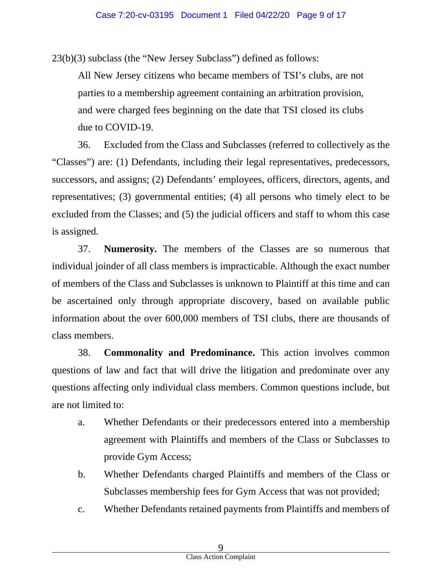23(b)(3) subclass (the "New Jersey Subclass") defined as follows:

All New Jersey citizens who became members of TSI's clubs, are not parties to a membership agreement containing an arbitration provision, and were charged fees beginning on the date that TSI closed its clubs due to COVID-19.

36. Excluded from the Class and Subclasses (referred to collectively as the "Classes") are: (1) Defendants, including their legal representatives, predecessors, successors, and assigns; (2) Defendants' employees, officers, directors, agents, and representatives; (3) governmental entities; (4) all persons who timely elect to be excluded from the Classes; and (5) the judicial officers and staff to whom this case is assigned.

37. **Numerosity.** The members of the Classes are so numerous that individual joinder of all class members is impracticable. Although the exact number of members of the Class and Subclasses is unknown to Plaintiff at this time and can be ascertained only through appropriate discovery, based on available public information about the over 600,000 members of TSI clubs, there are thousands of class members.

38. **Commonality and Predominance.** This action involves common questions of law and fact that will drive the litigation and predominate over any questions affecting only individual class members. Common questions include, but are not limited to:

- a. Whether Defendants or their predecessors entered into a membership agreement with Plaintiffs and members of the Class or Subclasses to provide Gym Access;
- b. Whether Defendants charged Plaintiffs and members of the Class or Subclasses membership fees for Gym Access that was not provided;
- c. Whether Defendants retained payments from Plaintiffs and members of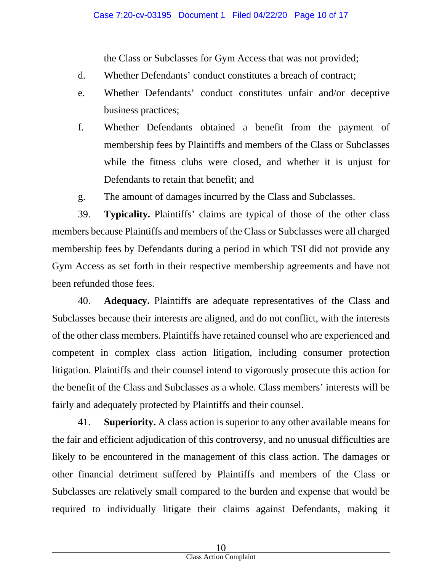the Class or Subclasses for Gym Access that was not provided;

- d. Whether Defendants' conduct constitutes a breach of contract;
- e. Whether Defendants' conduct constitutes unfair and/or deceptive business practices;
- f. Whether Defendants obtained a benefit from the payment of membership fees by Plaintiffs and members of the Class or Subclasses while the fitness clubs were closed, and whether it is unjust for Defendants to retain that benefit; and
- g. The amount of damages incurred by the Class and Subclasses.

39. **Typicality.** Plaintiffs' claims are typical of those of the other class members because Plaintiffs and members of the Class or Subclasses were all charged membership fees by Defendants during a period in which TSI did not provide any Gym Access as set forth in their respective membership agreements and have not been refunded those fees.

40. **Adequacy.** Plaintiffs are adequate representatives of the Class and Subclasses because their interests are aligned, and do not conflict, with the interests of the other class members. Plaintiffs have retained counsel who are experienced and competent in complex class action litigation, including consumer protection litigation. Plaintiffs and their counsel intend to vigorously prosecute this action for the benefit of the Class and Subclasses as a whole. Class members' interests will be fairly and adequately protected by Plaintiffs and their counsel.

41. **Superiority.** A class action is superior to any other available means for the fair and efficient adjudication of this controversy, and no unusual difficulties are likely to be encountered in the management of this class action. The damages or other financial detriment suffered by Plaintiffs and members of the Class or Subclasses are relatively small compared to the burden and expense that would be required to individually litigate their claims against Defendants, making it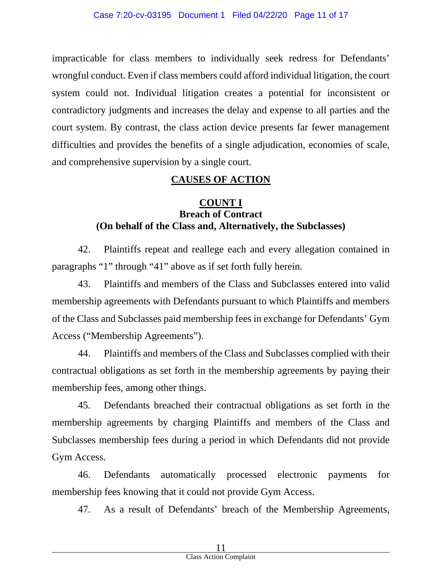impracticable for class members to individually seek redress for Defendants' wrongful conduct. Even if class members could afford individual litigation, the court system could not. Individual litigation creates a potential for inconsistent or contradictory judgments and increases the delay and expense to all parties and the court system. By contrast, the class action device presents far fewer management difficulties and provides the benefits of a single adjudication, economies of scale, and comprehensive supervision by a single court.

### **CAUSES OF ACTION**

#### **COUNT I Breach of Contract (On behalf of the Class and, Alternatively, the Subclasses)**

42. Plaintiffs repeat and reallege each and every allegation contained in paragraphs "1" through "41" above as if set forth fully herein.

43. Plaintiffs and members of the Class and Subclasses entered into valid membership agreements with Defendants pursuant to which Plaintiffs and members of the Class and Subclasses paid membership fees in exchange for Defendants' Gym Access ("Membership Agreements").

44. Plaintiffs and members of the Class and Subclasses complied with their contractual obligations as set forth in the membership agreements by paying their membership fees, among other things.

45. Defendants breached their contractual obligations as set forth in the membership agreements by charging Plaintiffs and members of the Class and Subclasses membership fees during a period in which Defendants did not provide Gym Access.

46. Defendants automatically processed electronic payments for membership fees knowing that it could not provide Gym Access.

47. As a result of Defendants' breach of the Membership Agreements,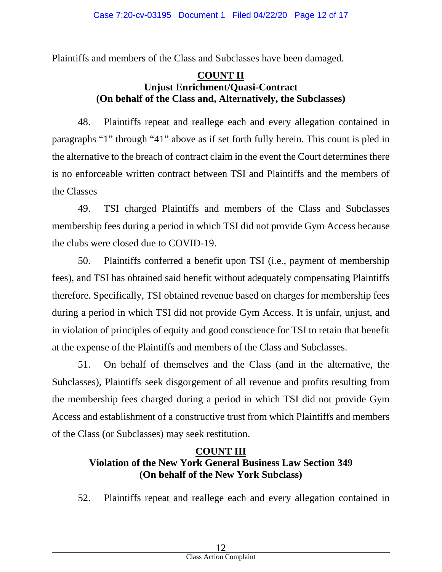Plaintiffs and members of the Class and Subclasses have been damaged.

### **COUNT II Unjust Enrichment/Quasi-Contract (On behalf of the Class and, Alternatively, the Subclasses)**

48. Plaintiffs repeat and reallege each and every allegation contained in paragraphs "1" through "41" above as if set forth fully herein. This count is pled in the alternative to the breach of contract claim in the event the Court determines there is no enforceable written contract between TSI and Plaintiffs and the members of the Classes

49. TSI charged Plaintiffs and members of the Class and Subclasses membership fees during a period in which TSI did not provide Gym Access because the clubs were closed due to COVID-19.

50. Plaintiffs conferred a benefit upon TSI (i.e., payment of membership fees), and TSI has obtained said benefit without adequately compensating Plaintiffs therefore. Specifically, TSI obtained revenue based on charges for membership fees during a period in which TSI did not provide Gym Access. It is unfair, unjust, and in violation of principles of equity and good conscience for TSI to retain that benefit at the expense of the Plaintiffs and members of the Class and Subclasses.

51. On behalf of themselves and the Class (and in the alternative, the Subclasses), Plaintiffs seek disgorgement of all revenue and profits resulting from the membership fees charged during a period in which TSI did not provide Gym Access and establishment of a constructive trust from which Plaintiffs and members of the Class (or Subclasses) may seek restitution.

## **COUNT III Violation of the New York General Business Law Section 349 (On behalf of the New York Subclass)**

52. Plaintiffs repeat and reallege each and every allegation contained in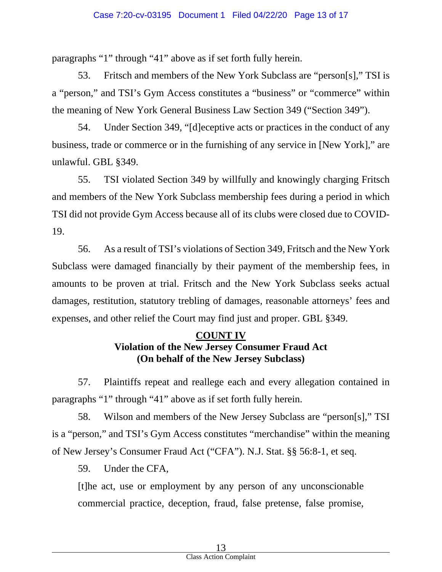paragraphs "1" through "41" above as if set forth fully herein.

53. Fritsch and members of the New York Subclass are "person[s]," TSI is a "person," and TSI's Gym Access constitutes a "business" or "commerce" within the meaning of New York General Business Law Section 349 ("Section 349").

54. Under Section 349, "[d]eceptive acts or practices in the conduct of any business, trade or commerce or in the furnishing of any service in [New York]," are unlawful. GBL §349.

55. TSI violated Section 349 by willfully and knowingly charging Fritsch and members of the New York Subclass membership fees during a period in which TSI did not provide Gym Access because all of its clubs were closed due to COVID-19.

56. As a result of TSI's violations of Section 349, Fritsch and the New York Subclass were damaged financially by their payment of the membership fees, in amounts to be proven at trial. Fritsch and the New York Subclass seeks actual damages, restitution, statutory trebling of damages, reasonable attorneys' fees and expenses, and other relief the Court may find just and proper. GBL §349.

### **COUNT IV Violation of the New Jersey Consumer Fraud Act (On behalf of the New Jersey Subclass)**

57. Plaintiffs repeat and reallege each and every allegation contained in paragraphs "1" through "41" above as if set forth fully herein.

58. Wilson and members of the New Jersey Subclass are "person[s]," TSI is a "person," and TSI's Gym Access constitutes "merchandise" within the meaning of New Jersey's Consumer Fraud Act ("CFA"). N.J. Stat. §§ 56:8-1, et seq.

59. Under the CFA,

[t]he act, use or employment by any person of any unconscionable commercial practice, deception, fraud, false pretense, false promise,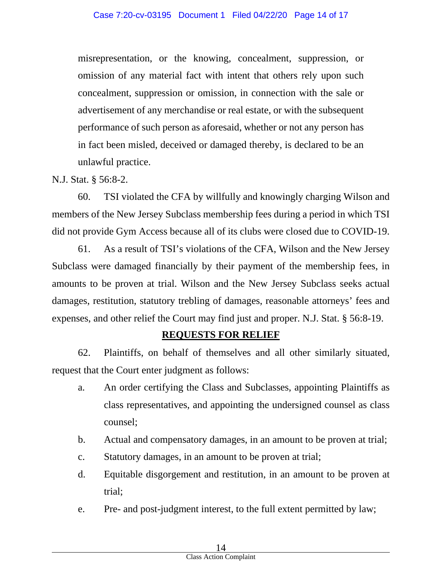misrepresentation, or the knowing, concealment, suppression, or omission of any material fact with intent that others rely upon such concealment, suppression or omission, in connection with the sale or advertisement of any merchandise or real estate, or with the subsequent performance of such person as aforesaid, whether or not any person has in fact been misled, deceived or damaged thereby, is declared to be an unlawful practice.

### N.J. Stat. § 56:8-2.

60. TSI violated the CFA by willfully and knowingly charging Wilson and members of the New Jersey Subclass membership fees during a period in which TSI did not provide Gym Access because all of its clubs were closed due to COVID-19.

61. As a result of TSI's violations of the CFA, Wilson and the New Jersey Subclass were damaged financially by their payment of the membership fees, in amounts to be proven at trial. Wilson and the New Jersey Subclass seeks actual damages, restitution, statutory trebling of damages, reasonable attorneys' fees and expenses, and other relief the Court may find just and proper. N.J. Stat. § 56:8-19.

### **REQUESTS FOR RELIEF**

62. Plaintiffs, on behalf of themselves and all other similarly situated, request that the Court enter judgment as follows:

- a. An order certifying the Class and Subclasses, appointing Plaintiffs as class representatives, and appointing the undersigned counsel as class counsel;
- b. Actual and compensatory damages, in an amount to be proven at trial;
- c. Statutory damages, in an amount to be proven at trial;
- d. Equitable disgorgement and restitution, in an amount to be proven at trial;
- e. Pre- and post-judgment interest, to the full extent permitted by law;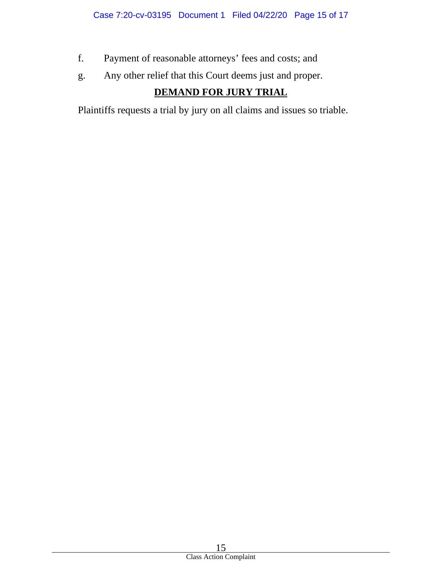- f. Payment of reasonable attorneys' fees and costs; and
- g. Any other relief that this Court deems just and proper.

# **DEMAND FOR JURY TRIAL**

Plaintiffs requests a trial by jury on all claims and issues so triable.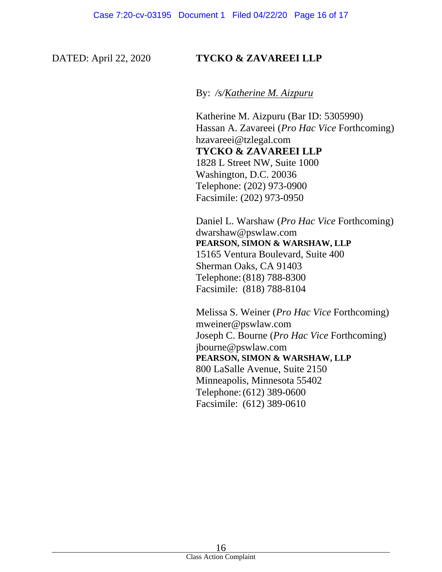#### DATED: April 22, 2020 **TYCKO & ZAVAREEI LLP**

By: */s/Katherine M. Aizpuru*

Katherine M. Aizpuru (Bar ID: 5305990) Hassan A. Zavareei (*Pro Hac Vice* Forthcoming) hzavareei@tzlegal.com **TYCKO & ZAVAREEI LLP** 1828 L Street NW, Suite 1000 Washington, D.C. 20036 Telephone: (202) 973-0900 Facsimile: (202) 973-0950

Daniel L. Warshaw (*Pro Hac Vice* Forthcoming) dwarshaw@pswlaw.com **PEARSON, SIMON & WARSHAW, LLP** 15165 Ventura Boulevard, Suite 400 Sherman Oaks, CA 91403 Telephone:(818) 788-8300 Facsimile: (818) 788-8104

Melissa S. Weiner (*Pro Hac Vice* Forthcoming) mweiner@pswlaw.com Joseph C. Bourne (*Pro Hac Vice* Forthcoming) jbourne@pswlaw.com **PEARSON, SIMON & WARSHAW, LLP** 800 LaSalle Avenue, Suite 2150 Minneapolis, Minnesota 55402 Telephone:(612) 389-0600 Facsimile: (612) 389-0610